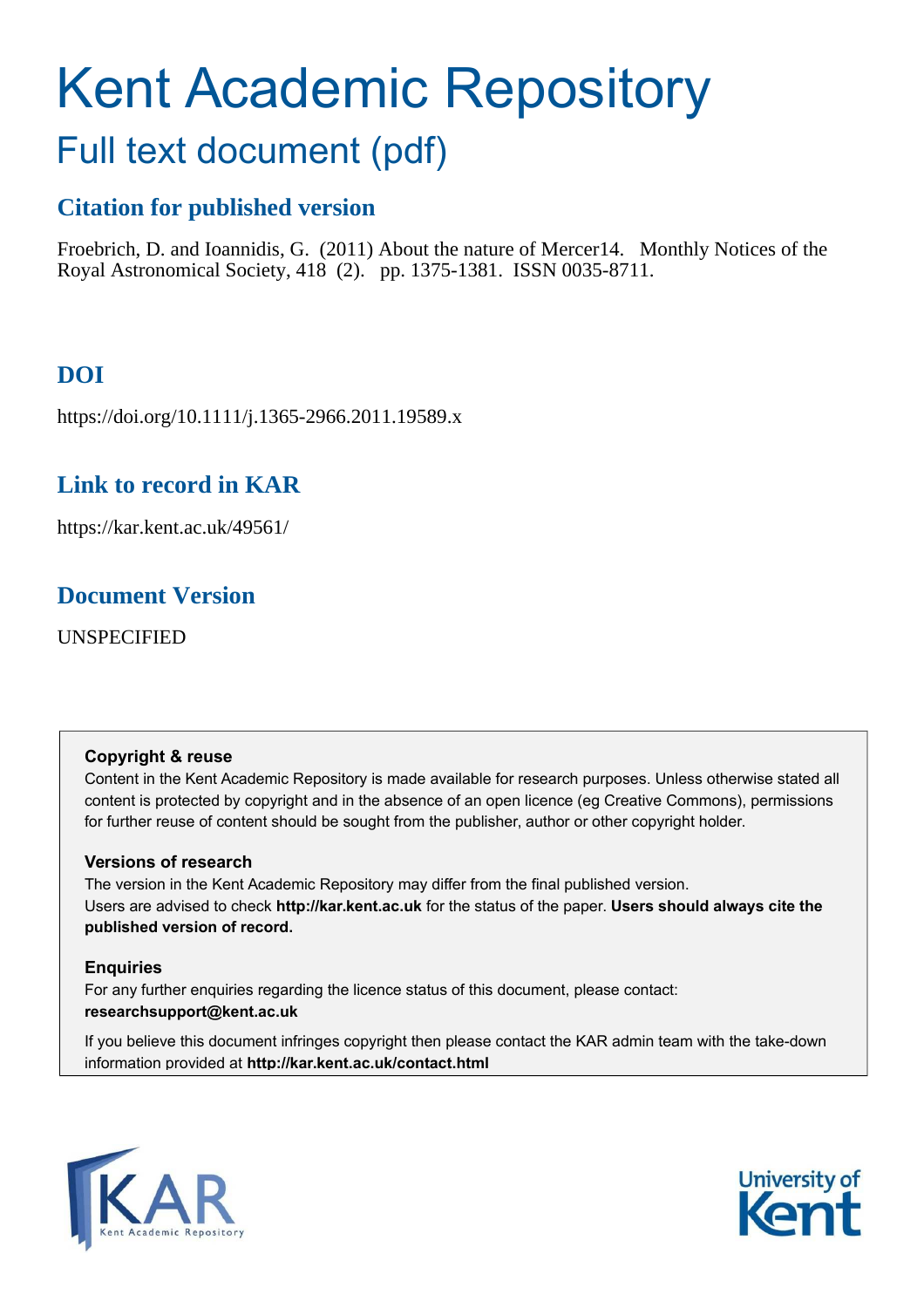# Kent Academic Repository

# Full text document (pdf)

# **Citation for published version**

Froebrich, D. and Ioannidis, G. (2011) About the nature of Mercer14. Monthly Notices of the Royal Astronomical Society, 418 (2). pp. 1375-1381. ISSN 0035-8711.

# **DOI**

https://doi.org/10.1111/j.1365-2966.2011.19589.x

# **Link to record in KAR**

https://kar.kent.ac.uk/49561/

# **Document Version**

UNSPECIFIED

## **Copyright & reuse**

Content in the Kent Academic Repository is made available for research purposes. Unless otherwise stated all content is protected by copyright and in the absence of an open licence (eg Creative Commons), permissions for further reuse of content should be sought from the publisher, author or other copyright holder.

## **Versions of research**

The version in the Kent Academic Repository may differ from the final published version. Users are advised to check **http://kar.kent.ac.uk** for the status of the paper. **Users should always cite the published version of record.**

## **Enquiries**

For any further enquiries regarding the licence status of this document, please contact: **researchsupport@kent.ac.uk**

If you believe this document infringes copyright then please contact the KAR admin team with the take-down information provided at **http://kar.kent.ac.uk/contact.html**



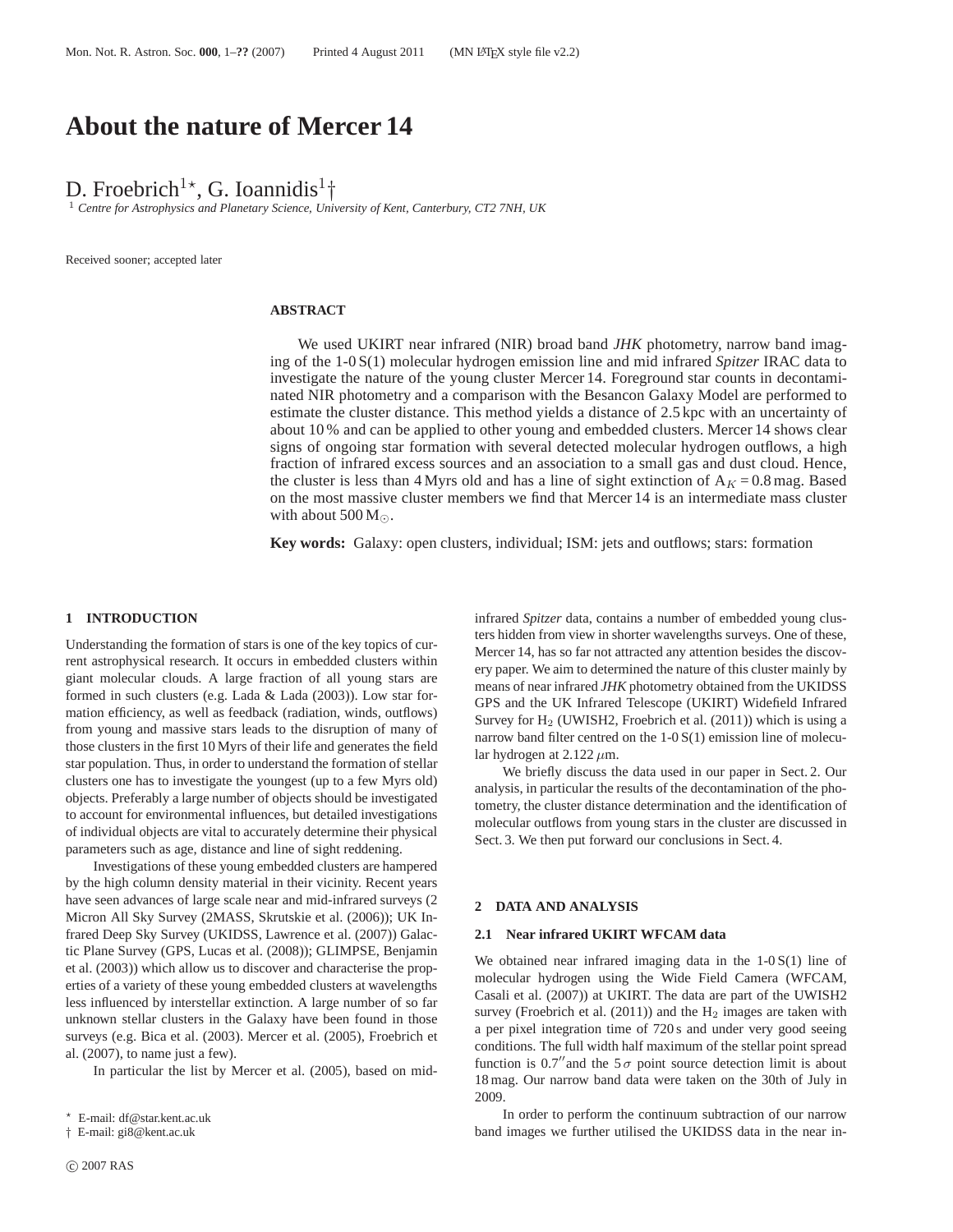## **About the nature of Mercer 14**

D. Froebrich<sup>1\*</sup>, G. Ioannidis<sup>1</sup><sup>†</sup>

<sup>1</sup> *Centre for Astrophysics and Planetary Science, University of Kent, Canterbury, CT2 7NH, UK*

Received sooner; accepted later

#### **ABSTRACT**

We used UKIRT near infrared (NIR) broad band *JHK* photometry, narrow band imaging of the 1-0 S(1) molecular hydrogen emission line and mid infrared *Spitzer* IRAC data to investigate the nature of the young cluster Mercer 14. Foreground star counts in decontaminated NIR photometry and a comparison with the Besancon Galaxy Model are performed to estimate the cluster distance. This method yields a distance of 2.5 kpc with an uncertainty of about 10 % and can be applied to other young and embedded clusters. Mercer 14 shows clear signs of ongoing star formation with several detected molecular hydrogen outflows, a high fraction of infrared excess sources and an association to a small gas and dust cloud. Hence, the cluster is less than 4 Myrs old and has a line of sight extinction of  $A<sub>K</sub> = 0.8$  mag. Based on the most massive cluster members we find that Mercer 14 is an intermediate mass cluster with about  $500 M_{\odot}$ .

**Key words:** Galaxy: open clusters, individual; ISM: jets and outflows; stars: formation

#### **1 INTRODUCTION**

Understanding the formation of stars is one of the key topics of current astrophysical research. It occurs in embedded clusters within giant molecular clouds. A large fraction of all young stars are formed in such clusters (e.g. Lada & Lada (2003)). Low star formation efficiency, as well as feedback (radiation, winds, outflows) from young and massive stars leads to the disruption of many of those clusters in the first 10 Myrs of their life and generates the field star population. Thus, in order to understand the formation of stellar clusters one has to investigate the youngest (up to a few Myrs old) objects. Preferably a large number of objects should be investigated to account for environmental influences, but detailed investigations of individual objects are vital to accurately determine their physical parameters such as age, distance and line of sight reddening.

Investigations of these young embedded clusters are hampered by the high column density material in their vicinity. Recent years have seen advances of large scale near and mid-infrared surveys (2 Micron All Sky Survey (2MASS, Skrutskie et al. (2006)); UK Infrared Deep Sky Survey (UKIDSS, Lawrence et al. (2007)) Galactic Plane Survey (GPS, Lucas et al. (2008)); GLIMPSE, Benjamin et al. (2003)) which allow us to discover and characterise the properties of a variety of these young embedded clusters at wavelengths less influenced by interstellar extinction. A large number of so far unknown stellar clusters in the Galaxy have been found in those surveys (e.g. Bica et al. (2003). Mercer et al. (2005), Froebrich et al. (2007), to name just a few).

In particular the list by Mercer et al. (2005), based on mid-

† E-mail: gi8@kent.ac.uk

infrared *Spitzer* data, contains a number of embedded young clusters hidden from view in shorter wavelengths surveys. One of these, Mercer 14, has so far not attracted any attention besides the discovery paper. We aim to determined the nature of this cluster mainly by means of near infrared *JHK* photometry obtained from the UKIDSS GPS and the UK Infrared Telescope (UKIRT) Widefield Infrared Survey for  $H_2$  (UWISH2, Froebrich et al. (2011)) which is using a narrow band filter centred on the 1-0 S(1) emission line of molecular hydrogen at  $2.122 \mu m$ .

We briefly discuss the data used in our paper in Sect. 2. Our analysis, in particular the results of the decontamination of the photometry, the cluster distance determination and the identification of molecular outflows from young stars in the cluster are discussed in Sect. 3. We then put forward our conclusions in Sect. 4.

#### **2 DATA AND ANALYSIS**

#### **2.1 Near infrared UKIRT WFCAM data**

We obtained near infrared imaging data in the  $1-0 S(1)$  line of molecular hydrogen using the Wide Field Camera (WFCAM, Casali et al. (2007)) at UKIRT. The data are part of the UWISH2 survey (Froebrich et al.  $(2011)$ ) and the  $H_2$  images are taken with a per pixel integration time of 720 s and under very good seeing conditions. The full width half maximum of the stellar point spread function is 0.7<sup>"</sup> and the  $5\sigma$  point source detection limit is about 18 mag. Our narrow band data were taken on the 30th of July in 2009.

In order to perform the continuum subtraction of our narrow band images we further utilised the UKIDSS data in the near in-

<sup>⋆</sup> E-mail: df@star.kent.ac.uk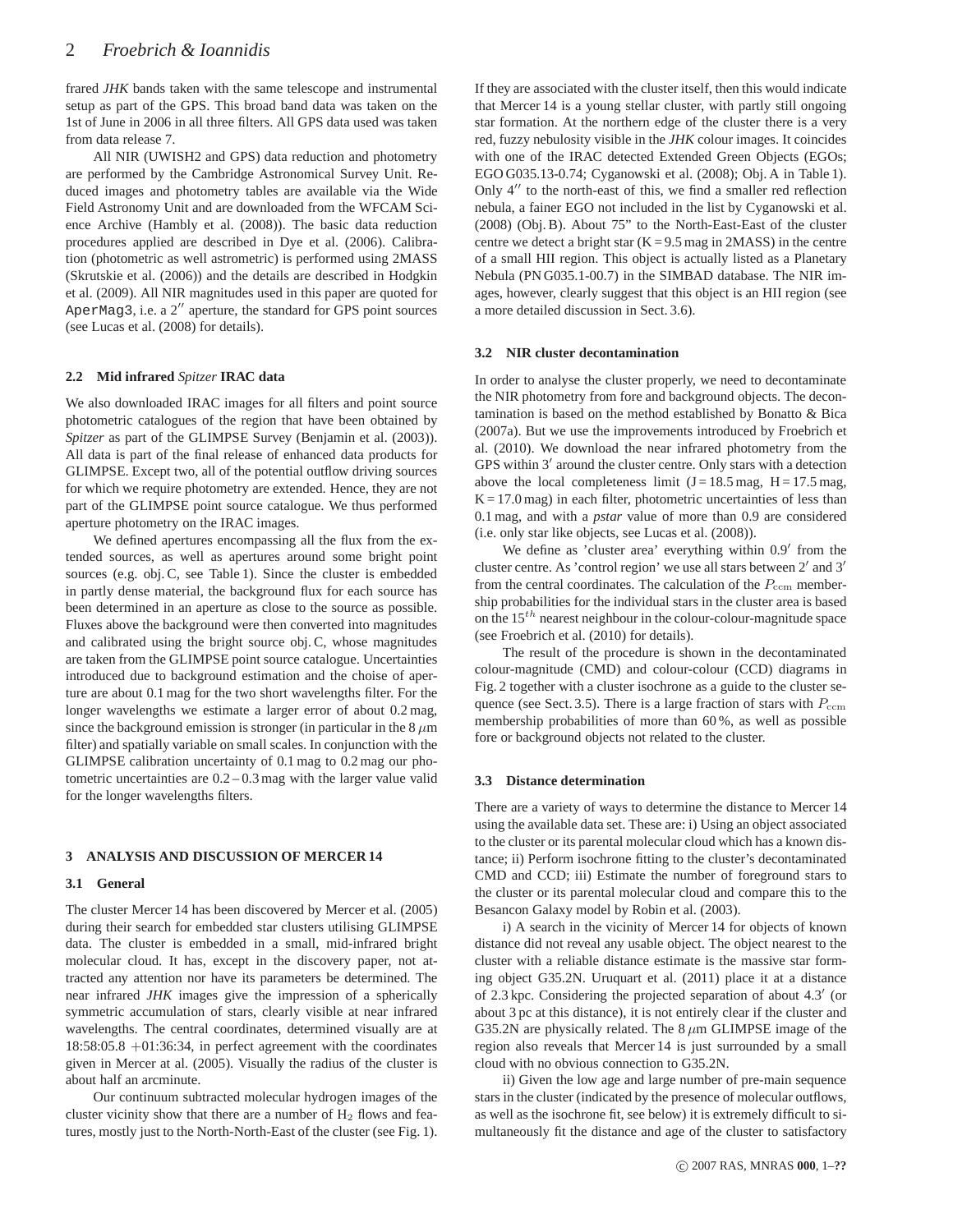frared *JHK* bands taken with the same telescope and instrumental setup as part of the GPS. This broad band data was taken on the 1st of June in 2006 in all three filters. All GPS data used was taken from data release 7.

All NIR (UWISH2 and GPS) data reduction and photometry are performed by the Cambridge Astronomical Survey Unit. Reduced images and photometry tables are available via the Wide Field Astronomy Unit and are downloaded from the WFCAM Science Archive (Hambly et al. (2008)). The basic data reduction procedures applied are described in Dye et al. (2006). Calibration (photometric as well astrometric) is performed using 2MASS (Skrutskie et al. (2006)) and the details are described in Hodgkin et al. (2009). All NIR magnitudes used in this paper are quoted for AperMag3, i.e. a  $2''$  aperture, the standard for GPS point sources (see Lucas et al. (2008) for details).

#### **2.2 Mid infrared** *Spitzer* **IRAC data**

We also downloaded IRAC images for all filters and point source photometric catalogues of the region that have been obtained by *Spitzer* as part of the GLIMPSE Survey (Benjamin et al. (2003)). All data is part of the final release of enhanced data products for GLIMPSE. Except two, all of the potential outflow driving sources for which we require photometry are extended. Hence, they are not part of the GLIMPSE point source catalogue. We thus performed aperture photometry on the IRAC images.

We defined apertures encompassing all the flux from the extended sources, as well as apertures around some bright point sources (e.g. obj. C, see Table 1). Since the cluster is embedded in partly dense material, the background flux for each source has been determined in an aperture as close to the source as possible. Fluxes above the background were then converted into magnitudes and calibrated using the bright source obj. C, whose magnitudes are taken from the GLIMPSE point source catalogue. Uncertainties introduced due to background estimation and the choise of aperture are about 0.1 mag for the two short wavelengths filter. For the longer wavelengths we estimate a larger error of about 0.2 mag, since the background emission is stronger (in particular in the  $8 \mu m$ filter) and spatially variable on small scales. In conjunction with the GLIMPSE calibration uncertainty of 0.1 mag to 0.2 mag our photometric uncertainties are 0.2 – 0.3 mag with the larger value valid for the longer wavelengths filters.

#### **3 ANALYSIS AND DISCUSSION OF MERCER 14**

#### **3.1 General**

The cluster Mercer 14 has been discovered by Mercer et al. (2005) during their search for embedded star clusters utilising GLIMPSE data. The cluster is embedded in a small, mid-infrared bright molecular cloud. It has, except in the discovery paper, not attracted any attention nor have its parameters be determined. The near infrared *JHK* images give the impression of a spherically symmetric accumulation of stars, clearly visible at near infrared wavelengths. The central coordinates, determined visually are at 18:58:05.8 +01:36:34, in perfect agreement with the coordinates given in Mercer at al. (2005). Visually the radius of the cluster is about half an arcminute.

Our continuum subtracted molecular hydrogen images of the cluster vicinity show that there are a number of  $H_2$  flows and features, mostly just to the North-North-East of the cluster (see Fig. 1).

If they are associated with the cluster itself, then this would indicate that Mercer 14 is a young stellar cluster, with partly still ongoing star formation. At the northern edge of the cluster there is a very red, fuzzy nebulosity visible in the *JHK* colour images. It coincides with one of the IRAC detected Extended Green Objects (EGOs; EGO G035.13-0.74; Cyganowski et al. (2008); Obj. A in Table 1). Only 4′′ to the north-east of this, we find a smaller red reflection nebula, a fainer EGO not included in the list by Cyganowski et al. (2008) (Obj. B). About 75" to the North-East-East of the cluster centre we detect a bright star  $(K = 9.5 \text{ mag in } 2MASS)$  in the centre of a small HII region. This object is actually listed as a Planetary Nebula (PN G035.1-00.7) in the SIMBAD database. The NIR images, however, clearly suggest that this object is an HII region (see a more detailed discussion in Sect. 3.6).

#### **3.2 NIR cluster decontamination**

In order to analyse the cluster properly, we need to decontaminate the NIR photometry from fore and background objects. The decontamination is based on the method established by Bonatto & Bica (2007a). But we use the improvements introduced by Froebrich et al. (2010). We download the near infrared photometry from the GPS within 3′ around the cluster centre. Only stars with a detection above the local completeness limit  $(J = 18.5 \text{ mag}, H = 17.5 \text{ mag},$  $K = 17.0$  mag) in each filter, photometric uncertainties of less than 0.1 mag, and with a *pstar* value of more than 0.9 are considered (i.e. only star like objects, see Lucas et al. (2008)).

We define as 'cluster area' everything within  $0.9'$  from the cluster centre. As 'control region' we use all stars between 2 ′ and 3′ from the central coordinates. The calculation of the  $P_{\text{ccm}}$  membership probabilities for the individual stars in the cluster area is based on the  $15^{th}$  nearest neighbour in the colour-colour-magnitude space (see Froebrich et al. (2010) for details).

The result of the procedure is shown in the decontaminated colour-magnitude (CMD) and colour-colour (CCD) diagrams in Fig. 2 together with a cluster isochrone as a guide to the cluster sequence (see Sect. 3.5). There is a large fraction of stars with  $P_{\text{ccm}}$ membership probabilities of more than 60 %, as well as possible fore or background objects not related to the cluster.

#### **3.3 Distance determination**

There are a variety of ways to determine the distance to Mercer 14 using the available data set. These are: i) Using an object associated to the cluster or its parental molecular cloud which has a known distance; ii) Perform isochrone fitting to the cluster's decontaminated CMD and CCD; iii) Estimate the number of foreground stars to the cluster or its parental molecular cloud and compare this to the Besancon Galaxy model by Robin et al. (2003).

i) A search in the vicinity of Mercer 14 for objects of known distance did not reveal any usable object. The object nearest to the cluster with a reliable distance estimate is the massive star forming object G35.2N. Uruquart et al. (2011) place it at a distance of 2.3 kpc. Considering the projected separation of about 4.3 ′ (or about 3 pc at this distance), it is not entirely clear if the cluster and G35.2N are physically related. The  $8 \mu m$  GLIMPSE image of the region also reveals that Mercer 14 is just surrounded by a small cloud with no obvious connection to G35.2N.

ii) Given the low age and large number of pre-main sequence stars in the cluster (indicated by the presence of molecular outflows, as well as the isochrone fit, see below) it is extremely difficult to simultaneously fit the distance and age of the cluster to satisfactory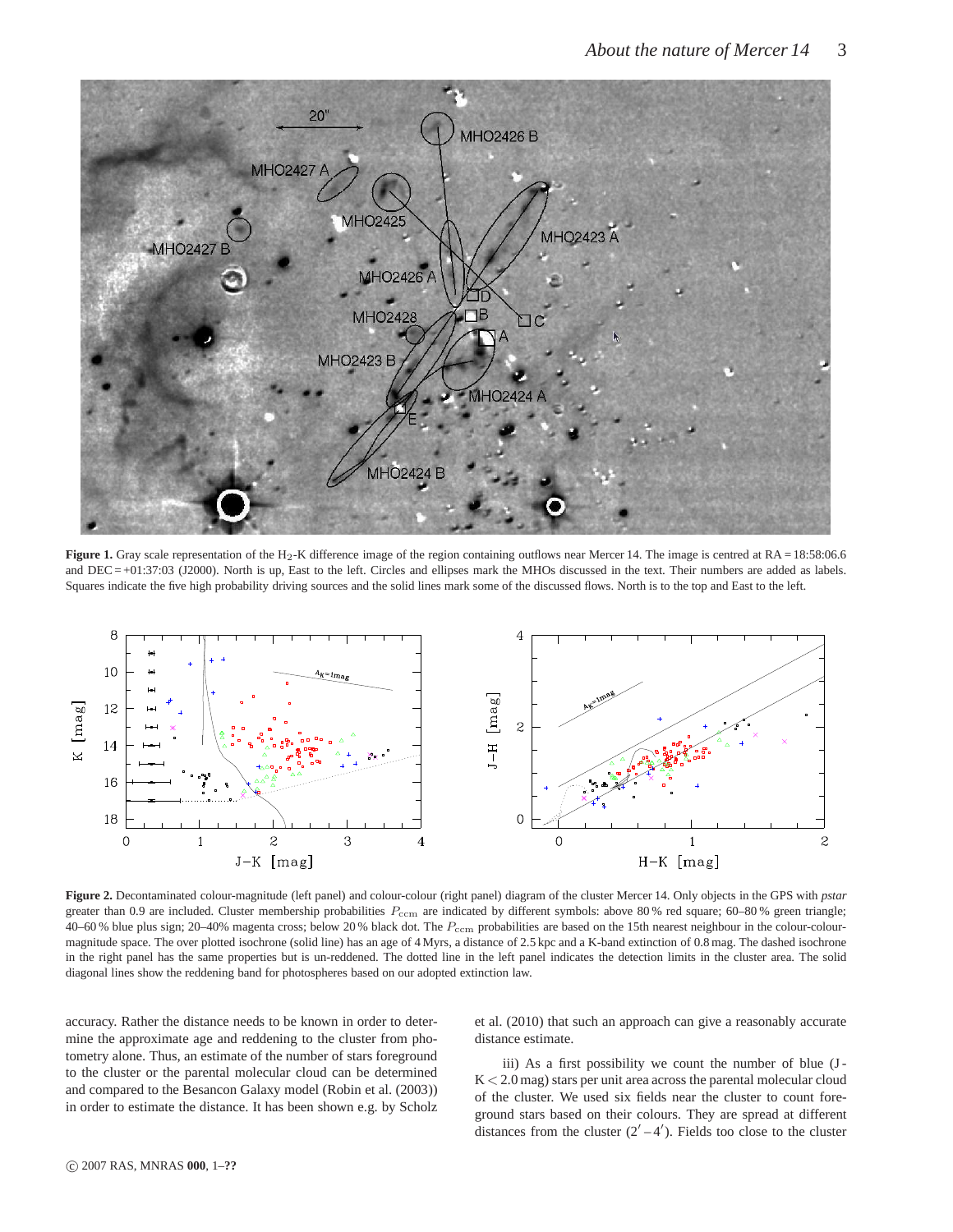

**Figure 1.** Gray scale representation of the H<sub>2</sub>-K difference image of the region containing outflows near Mercer 14. The image is centred at RA = 18:58:06.6 and DEC = +01:37:03 (J2000). North is up, East to the left. Circles and ellipses mark the MHOs discussed in the text. Their numbers are added as labels. Squares indicate the five high probability driving sources and the solid lines mark some of the discussed flows. North is to the top and East to the left.



**Figure 2.** Decontaminated colour-magnitude (left panel) and colour-colour (right panel) diagram of the cluster Mercer 14. Only objects in the GPS with *pstar* greater than 0.9 are included. Cluster membership probabilities  $P_{\text{ccm}}$  are indicated by different symbols: above 80% red square; 60–80% green triangle; 40–60 % blue plus sign; 20–40% magenta cross; below 20 % black dot. The  $P_{\text{ccm}}$  probabilities are based on the 15th nearest neighbour in the colour-colourmagnitude space. The over plotted isochrone (solid line) has an age of 4 Myrs, a distance of 2.5 kpc and a K-band extinction of 0.8 mag. The dashed isochrone in the right panel has the same properties but is un-reddened. The dotted line in the left panel indicates the detection limits in the cluster area. The solid diagonal lines show the reddening band for photospheres based on our adopted extinction law.

accuracy. Rather the distance needs to be known in order to determine the approximate age and reddening to the cluster from photometry alone. Thus, an estimate of the number of stars foreground to the cluster or the parental molecular cloud can be determined and compared to the Besancon Galaxy model (Robin et al. (2003)) in order to estimate the distance. It has been shown e.g. by Scholz et al. (2010) that such an approach can give a reasonably accurate distance estimate.

iii) As a first possibility we count the number of blue (J- $K < 2.0$  mag) stars per unit area across the parental molecular cloud of the cluster. We used six fields near the cluster to count foreground stars based on their colours. They are spread at different distances from the cluster  $(2' - 4')$ . Fields too close to the cluster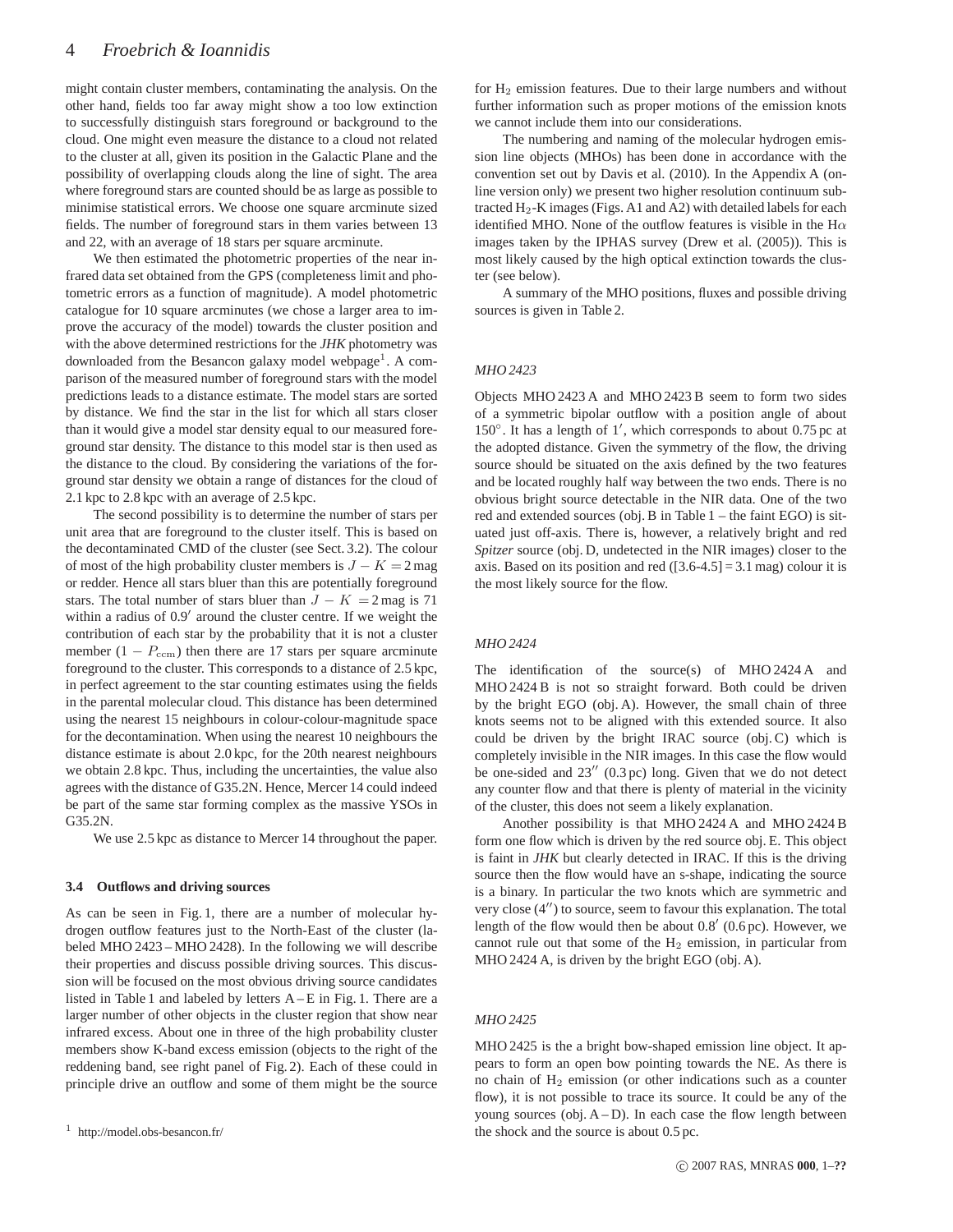might contain cluster members, contaminating the analysis. On the other hand, fields too far away might show a too low extinction to successfully distinguish stars foreground or background to the cloud. One might even measure the distance to a cloud not related to the cluster at all, given its position in the Galactic Plane and the possibility of overlapping clouds along the line of sight. The area where foreground stars are counted should be as large as possible to minimise statistical errors. We choose one square arcminute sized fields. The number of foreground stars in them varies between 13 and 22, with an average of 18 stars per square arcminute.

We then estimated the photometric properties of the near infrared data set obtained from the GPS (completeness limit and photometric errors as a function of magnitude). A model photometric catalogue for 10 square arcminutes (we chose a larger area to improve the accuracy of the model) towards the cluster position and with the above determined restrictions for the *JHK* photometry was downloaded from the Besancon galaxy model webpage<sup>1</sup>. A comparison of the measured number of foreground stars with the model predictions leads to a distance estimate. The model stars are sorted by distance. We find the star in the list for which all stars closer than it would give a model star density equal to our measured foreground star density. The distance to this model star is then used as the distance to the cloud. By considering the variations of the forground star density we obtain a range of distances for the cloud of 2.1 kpc to 2.8 kpc with an average of 2.5 kpc.

The second possibility is to determine the number of stars per unit area that are foreground to the cluster itself. This is based on the decontaminated CMD of the cluster (see Sect. 3.2). The colour of most of the high probability cluster members is  $J - K = 2$  mag or redder. Hence all stars bluer than this are potentially foreground stars. The total number of stars bluer than  $J - K = 2$  mag is 71 within a radius of  $0.9'$  around the cluster centre. If we weight the contribution of each star by the probability that it is not a cluster member  $(1 - P_{\text{ccm}})$  then there are 17 stars per square arcminute foreground to the cluster. This corresponds to a distance of 2.5 kpc, in perfect agreement to the star counting estimates using the fields in the parental molecular cloud. This distance has been determined using the nearest 15 neighbours in colour-colour-magnitude space for the decontamination. When using the nearest 10 neighbours the distance estimate is about 2.0 kpc, for the 20th nearest neighbours we obtain 2.8 kpc. Thus, including the uncertainties, the value also agrees with the distance of G35.2N. Hence, Mercer 14 could indeed be part of the same star forming complex as the massive YSOs in G35.2N.

We use 2.5 kpc as distance to Mercer 14 throughout the paper.

#### **3.4 Outflows and driving sources**

As can be seen in Fig. 1, there are a number of molecular hydrogen outflow features just to the North-East of the cluster (labeled MHO 2423 – MHO 2428). In the following we will describe their properties and discuss possible driving sources. This discussion will be focused on the most obvious driving source candidates listed in Table 1 and labeled by letters A – E in Fig. 1. There are a larger number of other objects in the cluster region that show near infrared excess. About one in three of the high probability cluster members show K-band excess emission (objects to the right of the reddening band, see right panel of Fig. 2). Each of these could in principle drive an outflow and some of them might be the source

 $1$  http://model.obs-besancon.fr/

for  $H_2$  emission features. Due to their large numbers and without further information such as proper motions of the emission knots we cannot include them into our considerations.

The numbering and naming of the molecular hydrogen emission line objects (MHOs) has been done in accordance with the convention set out by Davis et al. (2010). In the Appendix A (online version only) we present two higher resolution continuum subtracted  $H_2$ -K images (Figs. A1 and A2) with detailed labels for each identified MHO. None of the outflow features is visible in the H $\alpha$ images taken by the IPHAS survey (Drew et al. (2005)). This is most likely caused by the high optical extinction towards the cluster (see below).

A summary of the MHO positions, fluxes and possible driving sources is given in Table 2.

#### *MHO 2423*

Objects MHO 2423 A and MHO 2423 B seem to form two sides of a symmetric bipolar outflow with a position angle of about 150◦ . It has a length of 1′ , which corresponds to about 0.75 pc at the adopted distance. Given the symmetry of the flow, the driving source should be situated on the axis defined by the two features and be located roughly half way between the two ends. There is no obvious bright source detectable in the NIR data. One of the two red and extended sources (obj. B in Table 1 – the faint EGO) is situated just off-axis. There is, however, a relatively bright and red *Spitzer* source (obj. D, undetected in the NIR images) closer to the axis. Based on its position and red  $(3.6-4.5] = 3.1$  mag) colour it is the most likely source for the flow.

#### *MHO 2424*

The identification of the source(s) of MHO 2424 A and MHO 2424 B is not so straight forward. Both could be driven by the bright EGO (obj. A). However, the small chain of three knots seems not to be aligned with this extended source. It also could be driven by the bright IRAC source (obj. C) which is completely invisible in the NIR images. In this case the flow would be one-sided and  $23''$  (0.3 pc) long. Given that we do not detect any counter flow and that there is plenty of material in the vicinity of the cluster, this does not seem a likely explanation.

Another possibility is that MHO 2424 A and MHO 2424 B form one flow which is driven by the red source obj. E. This object is faint in *JHK* but clearly detected in IRAC. If this is the driving source then the flow would have an s-shape, indicating the source is a binary. In particular the two knots which are symmetric and very close (4′′) to source, seem to favour this explanation. The total length of the flow would then be about 0.8′ (0.6 pc). However, we cannot rule out that some of the  $H_2$  emission, in particular from MHO 2424 A, is driven by the bright EGO (obj. A).

#### *MHO 2425*

MHO 2425 is the a bright bow-shaped emission line object. It appears to form an open bow pointing towards the NE. As there is no chain of H<sup>2</sup> emission (or other indications such as a counter flow), it is not possible to trace its source. It could be any of the young sources (obj.  $A - D$ ). In each case the flow length between the shock and the source is about 0.5 pc.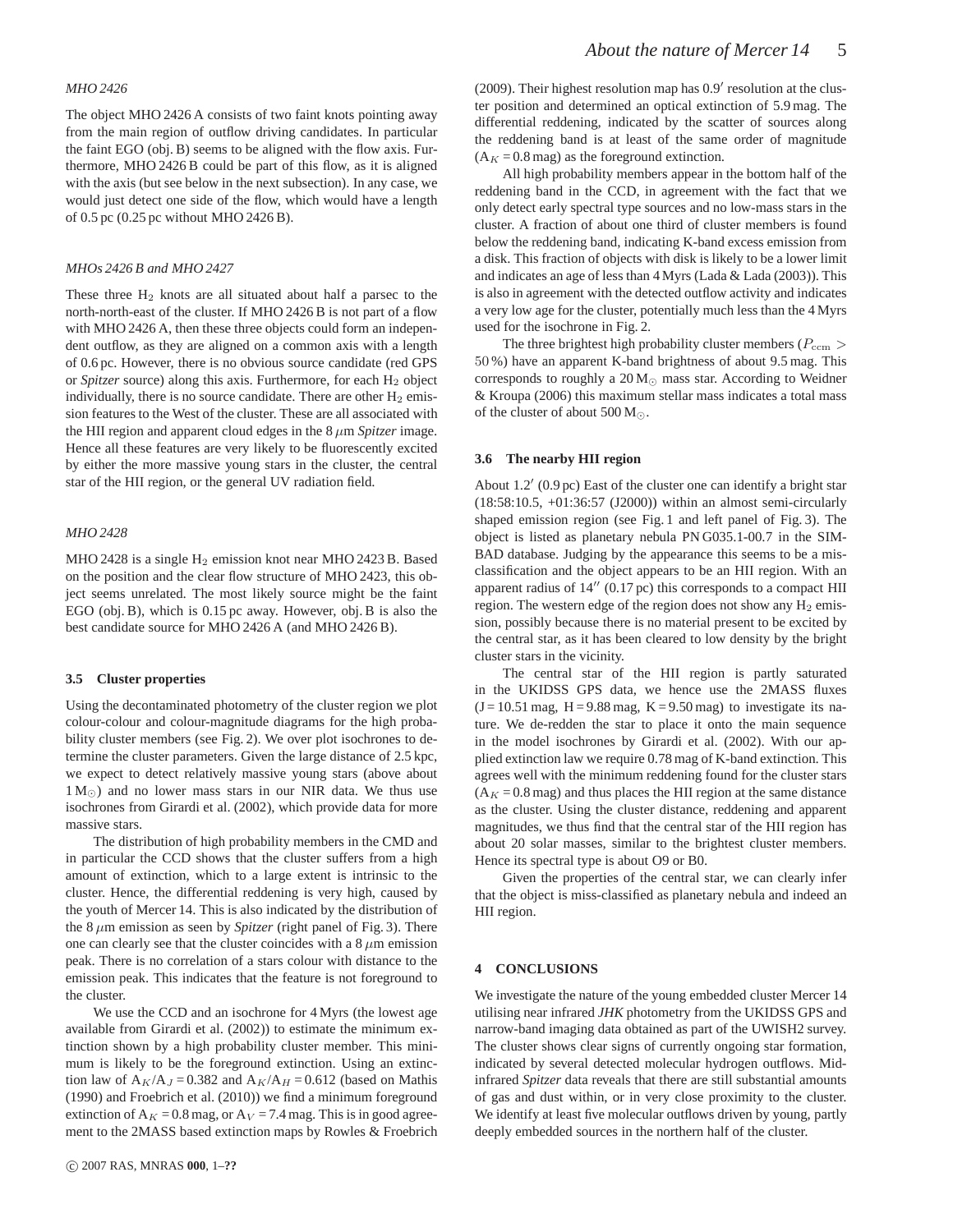#### *MHO 2426*

The object MHO 2426 A consists of two faint knots pointing away from the main region of outflow driving candidates. In particular the faint EGO (obj. B) seems to be aligned with the flow axis. Furthermore, MHO 2426 B could be part of this flow, as it is aligned with the axis (but see below in the next subsection). In any case, we would just detect one side of the flow, which would have a length of 0.5 pc (0.25 pc without MHO 2426 B).

#### *MHOs 2426 B and MHO 2427*

These three  $H_2$  knots are all situated about half a parsec to the north-north-east of the cluster. If MHO 2426 B is not part of a flow with MHO 2426 A, then these three objects could form an independent outflow, as they are aligned on a common axis with a length of 0.6 pc. However, there is no obvious source candidate (red GPS or *Spitzer* source) along this axis. Furthermore, for each H<sub>2</sub> object individually, there is no source candidate. There are other  $H_2$  emission features to the West of the cluster. These are all associated with the HII region and apparent cloud edges in the  $8 \mu m$  *Spitzer* image. Hence all these features are very likely to be fluorescently excited by either the more massive young stars in the cluster, the central star of the HII region, or the general UV radiation field.

#### *MHO 2428*

MHO 2428 is a single  $H_2$  emission knot near MHO 2423 B. Based on the position and the clear flow structure of MHO 2423, this object seems unrelated. The most likely source might be the faint EGO (obj. B), which is 0.15 pc away. However, obj. B is also the best candidate source for MHO 2426 A (and MHO 2426 B).

#### **3.5 Cluster properties**

Using the decontaminated photometry of the cluster region we plot colour-colour and colour-magnitude diagrams for the high probability cluster members (see Fig. 2). We over plot isochrones to determine the cluster parameters. Given the large distance of 2.5 kpc, we expect to detect relatively massive young stars (above about  $1 M_{\odot}$ ) and no lower mass stars in our NIR data. We thus use isochrones from Girardi et al. (2002), which provide data for more massive stars.

The distribution of high probability members in the CMD and in particular the CCD shows that the cluster suffers from a high amount of extinction, which to a large extent is intrinsic to the cluster. Hence, the differential reddening is very high, caused by the youth of Mercer 14. This is also indicated by the distribution of the  $8 \mu m$  emission as seen by *Spitzer* (right panel of Fig. 3). There one can clearly see that the cluster coincides with a  $8 \mu m$  emission peak. There is no correlation of a stars colour with distance to the emission peak. This indicates that the feature is not foreground to the cluster.

We use the CCD and an isochrone for 4 Myrs (the lowest age available from Girardi et al. (2002)) to estimate the minimum extinction shown by a high probability cluster member. This minimum is likely to be the foreground extinction. Using an extinction law of  $A_K/A_J = 0.382$  and  $A_K/A_H = 0.612$  (based on Mathis (1990) and Froebrich et al. (2010)) we find a minimum foreground extinction of  $A_K = 0.8$  mag, or  $A_V = 7.4$  mag. This is in good agreement to the 2MASS based extinction maps by Rowles & Froebrich

(2009). Their highest resolution map has 0.9′ resolution at the cluster position and determined an optical extinction of 5.9 mag. The differential reddening, indicated by the scatter of sources along the reddening band is at least of the same order of magnitude  $(A_K = 0.8$  mag) as the foreground extinction.

All high probability members appear in the bottom half of the reddening band in the CCD, in agreement with the fact that we only detect early spectral type sources and no low-mass stars in the cluster. A fraction of about one third of cluster members is found below the reddening band, indicating K-band excess emission from a disk. This fraction of objects with disk is likely to be a lower limit and indicates an age of less than 4 Myrs (Lada & Lada (2003)). This is also in agreement with the detected outflow activity and indicates a very low age for the cluster, potentially much less than the 4 Myrs used for the isochrone in Fig. 2.

The three brightest high probability cluster members ( $P_{\text{ccm}}$ ) 50 %) have an apparent K-band brightness of about 9.5 mag. This corresponds to roughly a  $20 M_{\odot}$  mass star. According to Weidner & Kroupa (2006) this maximum stellar mass indicates a total mass of the cluster of about 500  $M_{\odot}$ .

#### **3.6 The nearby HII region**

About 1.2′ (0.9 pc) East of the cluster one can identify a bright star (18:58:10.5, +01:36:57 (J2000)) within an almost semi-circularly shaped emission region (see Fig. 1 and left panel of Fig. 3). The object is listed as planetary nebula PN G035.1-00.7 in the SIM-BAD database. Judging by the appearance this seems to be a misclassification and the object appears to be an HII region. With an apparent radius of 14′′ (0.17 pc) this corresponds to a compact HII region. The western edge of the region does not show any  $H_2$  emission, possibly because there is no material present to be excited by the central star, as it has been cleared to low density by the bright cluster stars in the vicinity.

The central star of the HII region is partly saturated in the UKIDSS GPS data, we hence use the 2MASS fluxes  $(J = 10.51$  mag,  $H = 9.88$  mag,  $K = 9.50$  mag) to investigate its nature. We de-redden the star to place it onto the main sequence in the model isochrones by Girardi et al. (2002). With our applied extinction law we require 0.78 mag of K-band extinction. This agrees well with the minimum reddening found for the cluster stars  $(A<sub>K</sub> = 0.8$  mag) and thus places the HII region at the same distance as the cluster. Using the cluster distance, reddening and apparent magnitudes, we thus find that the central star of the HII region has about 20 solar masses, similar to the brightest cluster members. Hence its spectral type is about O9 or B0.

Given the properties of the central star, we can clearly infer that the object is miss-classified as planetary nebula and indeed an HII region.

#### **4 CONCLUSIONS**

We investigate the nature of the young embedded cluster Mercer 14 utilising near infrared *JHK* photometry from the UKIDSS GPS and narrow-band imaging data obtained as part of the UWISH2 survey. The cluster shows clear signs of currently ongoing star formation, indicated by several detected molecular hydrogen outflows. Midinfrared *Spitzer* data reveals that there are still substantial amounts of gas and dust within, or in very close proximity to the cluster. We identify at least five molecular outflows driven by young, partly deeply embedded sources in the northern half of the cluster.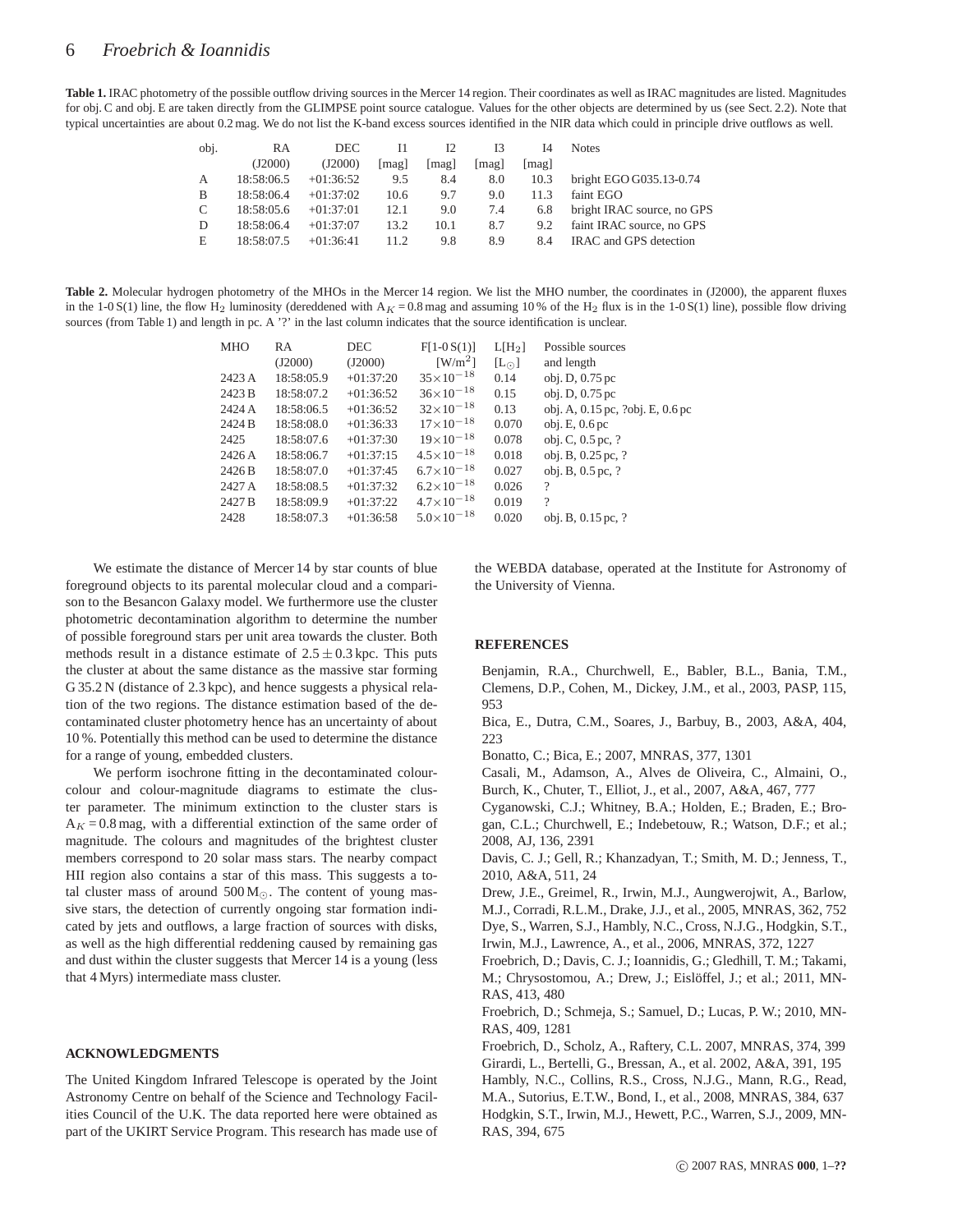Table 1. IRAC photometry of the possible outflow driving sources in the Mercer 14 region. Their coordinates as well as IRAC magnitudes are listed. Magnitudes for obj. C and obj. E are taken directly from the GLIMPSE point source catalogue. Values for the other objects are determined by us (see Sect. 2.2). Note that typical uncertainties are about 0.2 mag. We do not list the K-band excess sources identified in the NIR data which could in principle drive outflows as well.

| obj. | RA         | <b>DEC</b>  | 11    | 12    | 13    | 14   | <b>Notes</b>               |
|------|------------|-------------|-------|-------|-------|------|----------------------------|
|      | (J2000)    | (J2000)     | [mag] | [mag] | [mag] | mag  |                            |
| A    | 18:58:06.5 | $+01:36:52$ | 9.5   | 8.4   | 8.0   | 10.3 | bright EGO G035.13-0.74    |
| B    | 18:58:06.4 | $+01:37:02$ | 10.6  | 9.7   | 9.0   | 11.3 | faint EGO                  |
| C    | 18:58:05.6 | $+01:37:01$ | 12.1  | 9.0   | 7.4   | 6.8  | bright IRAC source, no GPS |
| D    | 18:58:06.4 | $+01:37:07$ | 13.2  | 10.1  | 8.7   | 9.2  | faint IRAC source, no GPS  |
| Е    | 18:58:07.5 | $+01:36:41$ | 11.2. | 9.8   | 8.9   | 84   | IRAC and GPS detection     |

Table 2. Molecular hydrogen photometry of the MHOs in the Mercer 14 region. We list the MHO number, the coordinates in (J2000), the apparent fluxes in the 1-0 S(1) line, the flow H<sub>2</sub> luminosity (dereddened with  $A<sub>K</sub> = 0.8$  mag and assuming 10 % of the H<sub>2</sub> flux is in the 1-0 S(1) line), possible flow driving sources (from Table 1) and length in pc. A '?' in the last column indicates that the source identification is unclear.

| MHO    | <b>RA</b>  | DEC         | $F[1-0S(1)]$          | L[H <sub>2</sub> ] | Possible sources                        |
|--------|------------|-------------|-----------------------|--------------------|-----------------------------------------|
|        | (J2000)    | (J2000)     | $\lceil W/m^2 \rceil$ | $[L_{\odot}]$      | and length                              |
| 2423 A | 18:58:05.9 | $+01:37:20$ | $35 \times 10^{-18}$  | 0.14               | obj. D, 0.75 pc                         |
| 2423 B | 18:58:07.2 | $+01:36:52$ | $36 \times 10^{-18}$  | 0.15               | obj. D, 0.75 pc                         |
| 2424 A | 18:58:06.5 | $+01:36:52$ | $32\times10^{-18}$    | 0.13               | obj. A, $0.15$ pc, $?$ obj. E, $0.6$ pc |
| 2424 B | 18:58:08.0 | $+01:36:33$ | $17\times10^{-18}$    | 0.070              | obj. E, 0.6 pc                          |
| 2425   | 18:58:07.6 | $+01:37:30$ | $19\times10^{-18}$    | 0.078              | obj. C, $0.5$ pc, ?                     |
| 2426A  | 18:58:06.7 | $+01:37:15$ | $4.5 \times 10^{-18}$ | 0.018              | obj. B, 0.25 pc, ?                      |
| 2426 B | 18:58:07.0 | $+01:37:45$ | $6.7\times10^{-18}$   | 0.027              | obj. B, 0.5 pc, ?                       |
| 2427 A | 18:58:08.5 | $+01:37:32$ | $6.2\times10^{-18}$   | 0.026              | $\overline{\mathcal{L}}$                |
| 2427 B | 18:58:09.9 | $+01:37:22$ | $4.7 \times 10^{-18}$ | 0.019              | $\gamma$                                |
| 2428   | 18:58:07.3 | $+01:36:58$ | $5.0\times10^{-18}$   | 0.020              | obj. B, 0.15 pc, ?                      |
|        |            |             |                       |                    |                                         |

We estimate the distance of Mercer 14 by star counts of blue foreground objects to its parental molecular cloud and a comparison to the Besancon Galaxy model. We furthermore use the cluster photometric decontamination algorithm to determine the number of possible foreground stars per unit area towards the cluster. Both methods result in a distance estimate of  $2.5 \pm 0.3$  kpc. This puts the cluster at about the same distance as the massive star forming G 35.2 N (distance of 2.3 kpc), and hence suggests a physical relation of the two regions. The distance estimation based of the decontaminated cluster photometry hence has an uncertainty of about 10 %. Potentially this method can be used to determine the distance for a range of young, embedded clusters.

We perform isochrone fitting in the decontaminated colourcolour and colour-magnitude diagrams to estimate the cluster parameter. The minimum extinction to the cluster stars is  $A<sub>K</sub> = 0.8$  mag, with a differential extinction of the same order of magnitude. The colours and magnitudes of the brightest cluster members correspond to 20 solar mass stars. The nearby compact HII region also contains a star of this mass. This suggests a total cluster mass of around  $500 M_{\odot}$ . The content of young massive stars, the detection of currently ongoing star formation indicated by jets and outflows, a large fraction of sources with disks, as well as the high differential reddening caused by remaining gas and dust within the cluster suggests that Mercer 14 is a young (less that 4 Myrs) intermediate mass cluster.

#### **ACKNOWLEDGMENTS**

The United Kingdom Infrared Telescope is operated by the Joint Astronomy Centre on behalf of the Science and Technology Facilities Council of the U.K. The data reported here were obtained as part of the UKIRT Service Program. This research has made use of the WEBDA database, operated at the Institute for Astronomy of the University of Vienna.

#### **REFERENCES**

Benjamin, R.A., Churchwell, E., Babler, B.L., Bania, T.M., Clemens, D.P., Cohen, M., Dickey, J.M., et al., 2003, PASP, 115, 953

Bica, E., Dutra, C.M., Soares, J., Barbuy, B., 2003, A&A, 404, 223

Bonatto, C.; Bica, E.; 2007, MNRAS, 377, 1301

Casali, M., Adamson, A., Alves de Oliveira, C., Almaini, O., Burch, K., Chuter, T., Elliot, J., et al., 2007, A&A, 467, 777

Cyganowski, C.J.; Whitney, B.A.; Holden, E.; Braden, E.; Brogan, C.L.; Churchwell, E.; Indebetouw, R.; Watson, D.F.; et al.; 2008, AJ, 136, 2391

Davis, C. J.; Gell, R.; Khanzadyan, T.; Smith, M. D.; Jenness, T., 2010, A&A, 511, 24

Drew, J.E., Greimel, R., Irwin, M.J., Aungwerojwit, A., Barlow, M.J., Corradi, R.L.M., Drake, J.J., et al., 2005, MNRAS, 362, 752 Dye, S., Warren, S.J., Hambly, N.C., Cross, N.J.G., Hodgkin, S.T., Irwin, M.J., Lawrence, A., et al., 2006, MNRAS, 372, 1227

Froebrich, D.; Davis, C. J.; Ioannidis, G.; Gledhill, T. M.; Takami, M.; Chrysostomou, A.; Drew, J.; Eislöffel, J.; et al.; 2011, MN-RAS, 413, 480

Froebrich, D.; Schmeja, S.; Samuel, D.; Lucas, P. W.; 2010, MN-RAS, 409, 1281

Froebrich, D., Scholz, A., Raftery, C.L. 2007, MNRAS, 374, 399 Girardi, L., Bertelli, G., Bressan, A., et al. 2002, A&A, 391, 195 Hambly, N.C., Collins, R.S., Cross, N.J.G., Mann, R.G., Read, M.A., Sutorius, E.T.W., Bond, I., et al., 2008, MNRAS, 384, 637 Hodgkin, S.T., Irwin, M.J., Hewett, P.C., Warren, S.J., 2009, MN-RAS, 394, 675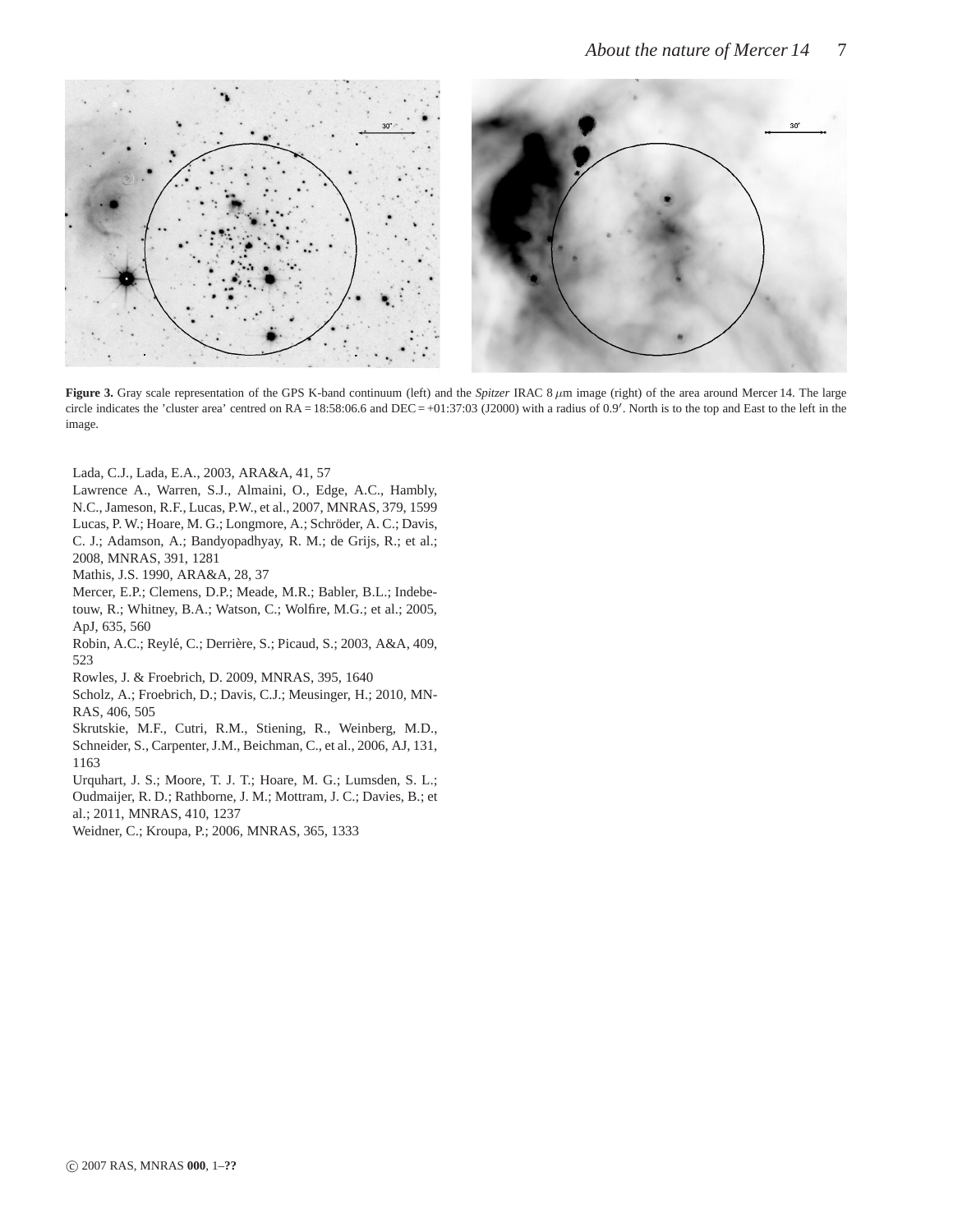

**Figure 3.** Gray scale representation of the GPS K-band continuum (left) and the *Spitzer* IRAC 8  $\mu$ m image (right) of the area around Mercer 14. The large circle indicates the 'cluster area' centred on  $RA = 18:58:06.6$  and  $DEC = +01:37:03$  (J2000) with a radius of 0.9'. North is to the top and East to the left in the image.

Lada, C.J., Lada, E.A., 2003, ARA&A, 41, 57

Lawrence A., Warren, S.J., Almaini, O., Edge, A.C., Hambly, N.C., Jameson, R.F., Lucas, P.W., et al., 2007, MNRAS, 379, 1599 Lucas, P. W.; Hoare, M. G.; Longmore, A.; Schröder, A. C.; Davis, C. J.; Adamson, A.; Bandyopadhyay, R. M.; de Grijs, R.; et al.; 2008, MNRAS, 391, 1281

Mathis, J.S. 1990, ARA&A, 28, 37

Mercer, E.P.; Clemens, D.P.; Meade, M.R.; Babler, B.L.; Indebetouw, R.; Whitney, B.A.; Watson, C.; Wolfire, M.G.; et al.; 2005, ApJ, 635, 560

Robin, A.C.; Reylé, C.; Derrière, S.; Picaud, S.; 2003, A&A, 409, 523

Rowles, J. & Froebrich, D. 2009, MNRAS, 395, 1640

Scholz, A.; Froebrich, D.; Davis, C.J.; Meusinger, H.; 2010, MN-RAS, 406, 505

Skrutskie, M.F., Cutri, R.M., Stiening, R., Weinberg, M.D., Schneider, S., Carpenter, J.M., Beichman, C., et al., 2006, AJ, 131, 1163

Urquhart, J. S.; Moore, T. J. T.; Hoare, M. G.; Lumsden, S. L.; Oudmaijer, R. D.; Rathborne, J. M.; Mottram, J. C.; Davies, B.; et

al.; 2011, MNRAS, 410, 1237

Weidner, C.; Kroupa, P.; 2006, MNRAS, 365, 1333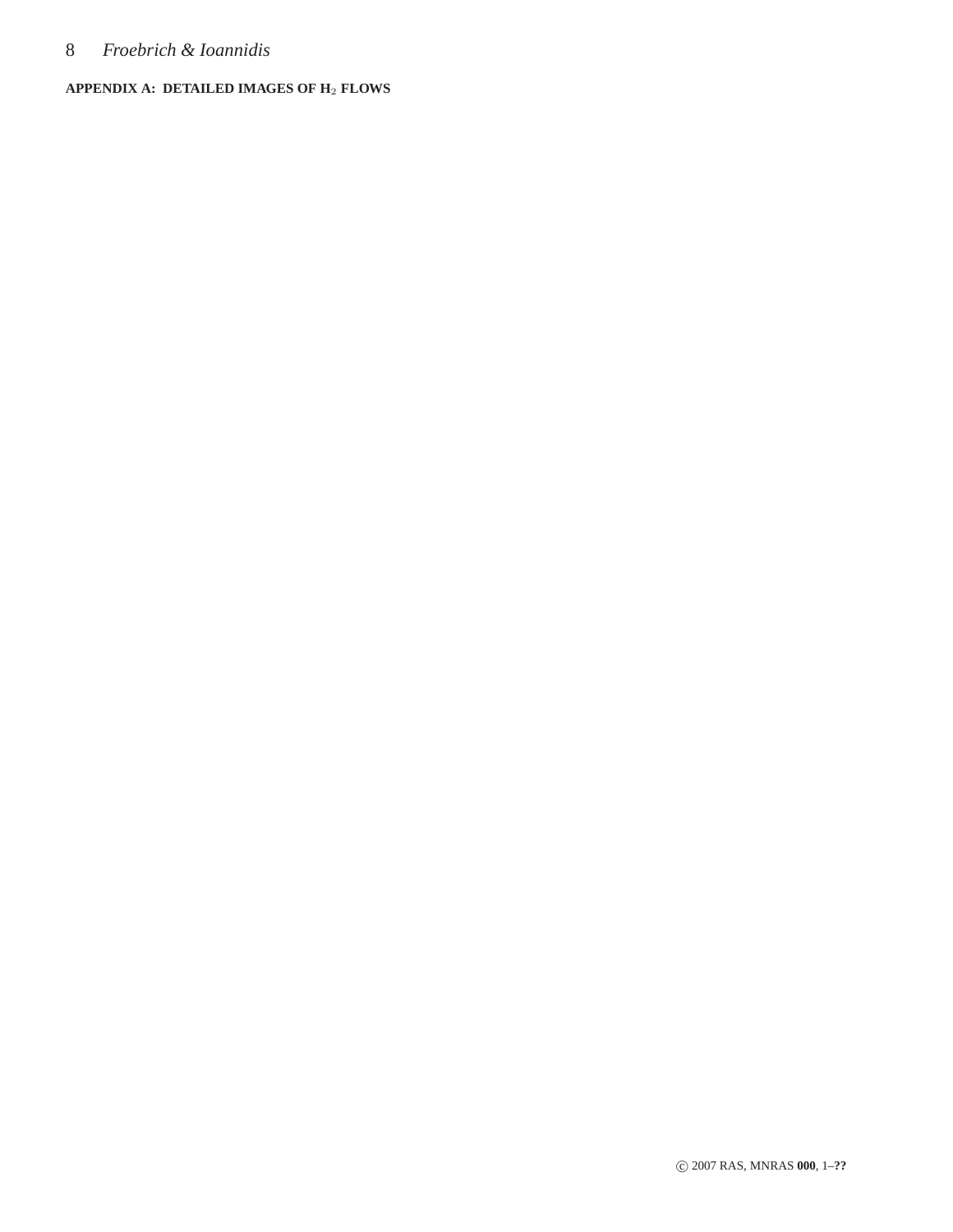## 8 *Froebrich & Ioannidis*

### **APPENDIX A: DETAILED IMAGES OF H**<sup>2</sup> **FLOWS**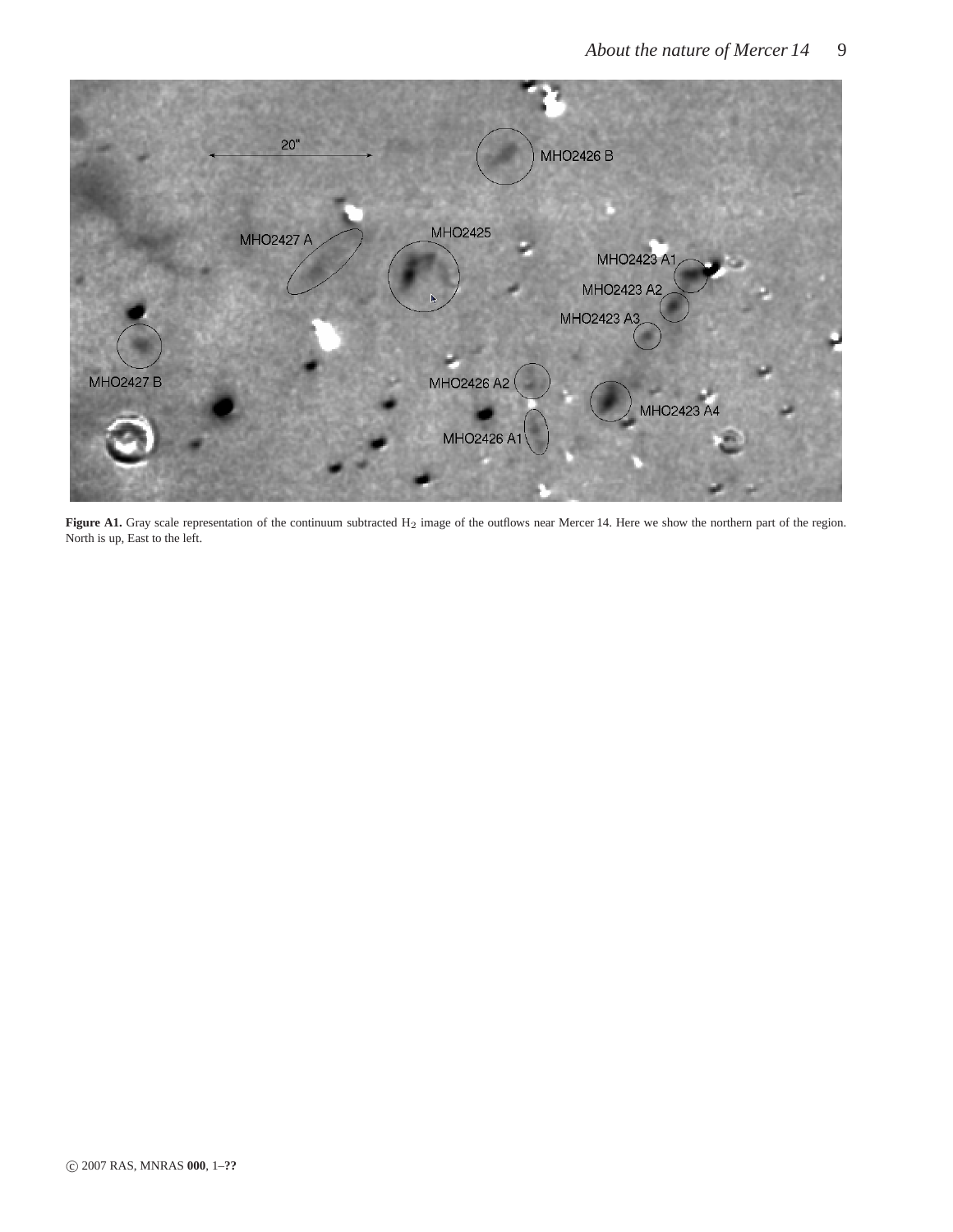

Figure A1. Gray scale representation of the continuum subtracted H<sub>2</sub> image of the outflows near Mercer 14. Here we show the northern part of the region. North is up, East to the left.